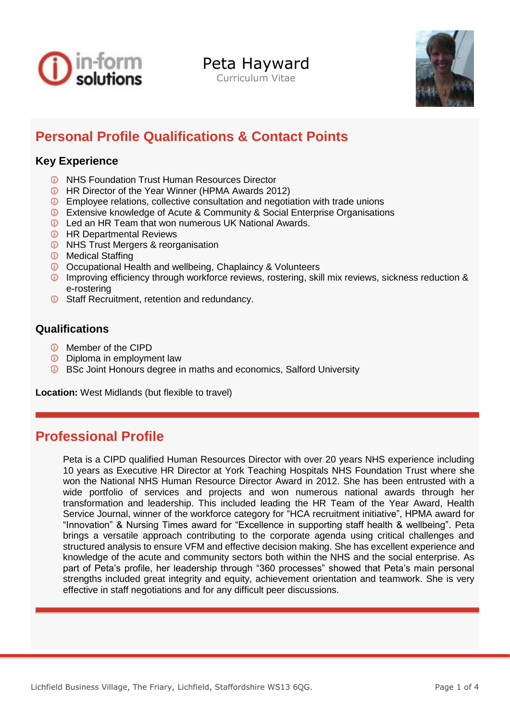

Peta Hayward

Curriculum Vitae



# **Personal Profile Qualifications & Contact Points**

### **Key Experience**

- **<sup>1</sup>** NHS Foundation Trust Human Resources Director
- **C** HR Director of the Year Winner (HPMA Awards 2012)
- Employee relations, collective consultation and negotiation with trade unions
- **C** Extensive knowledge of Acute & Community & Social Enterprise Organisations
- **C** Led an HR Team that won numerous UK National Awards.
- **<sup>1</sup>** HR Departmental Reviews
- **<sup>1</sup>** NHS Trust Mergers & reorganisation
- *<sup>1</sup>* Medical Staffing
- Occupational Health and wellbeing, Chaplaincy & Volunteers
- Improving efficiency through workforce reviews, rostering, skill mix reviews, sickness reduction & e-rostering
- **C** Staff Recruitment, retention and redundancy.

### **Qualifications**

- **<sup>1</sup>** Member of the CIPD
- **D** Diploma in employment law
- **C** BSc Joint Honours degree in maths and economics, Salford University

**Location:** West Midlands (but flexible to travel)

## **Professional Profile**

Peta is a CIPD qualified Human Resources Director with over 20 years NHS experience including 10 years as Executive HR Director at York Teaching Hospitals NHS Foundation Trust where she won the National NHS Human Resource Director Award in 2012. She has been entrusted with a wide portfolio of services and projects and won numerous national awards through her transformation and leadership. This included leading the HR Team of the Year Award, Health Service Journal, winner of the workforce category for "HCA recruitment initiative", HPMA award for "Innovation" & Nursing Times award for "Excellence in supporting staff health & wellbeing". Peta brings a versatile approach contributing to the corporate agenda using critical challenges and structured analysis to ensure VFM and effective decision making. She has excellent experience and knowledge of the acute and community sectors both within the NHS and the social enterprise. As part of Peta's profile, her leadership through "360 processes" showed that Peta's main personal strengths included great integrity and equity, achievement orientation and teamwork. She is very effective in staff negotiations and for any difficult peer discussions.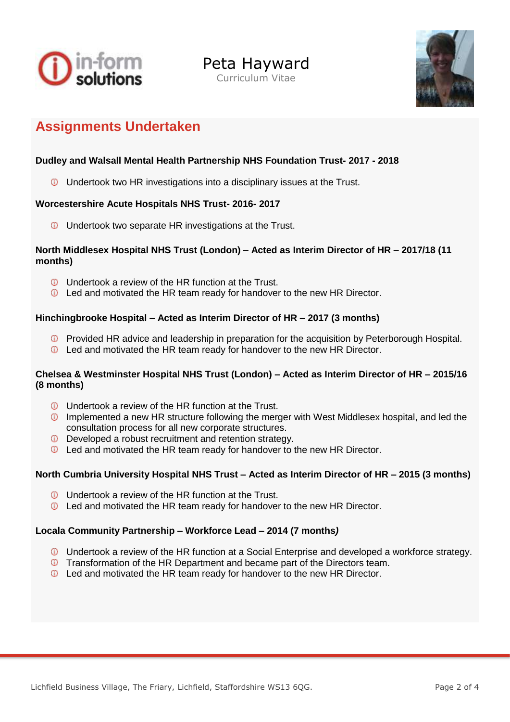





## **Assignments Undertaken**

### **Dudley and Walsall Mental Health Partnership NHS Foundation Trust- 2017 - 2018**

**Undertook two HR investigations into a disciplinary issues at the Trust.** 

#### **Worcestershire Acute Hospitals NHS Trust- 2016- 2017**

**Undertook two separate HR investigations at the Trust.** 

#### **North Middlesex Hospital NHS Trust (London) – Acted as Interim Director of HR – 2017/18 (11 months)**

- **ID** Undertook a review of the HR function at the Trust.
- **D** Led and motivated the HR team ready for handover to the new HR Director.

#### **Hinchingbrooke Hospital – Acted as Interim Director of HR – 2017 (3 months)**

- **D** Provided HR advice and leadership in preparation for the acquisition by Peterborough Hospital.
- **D** Led and motivated the HR team ready for handover to the new HR Director.

#### **Chelsea & Westminster Hospital NHS Trust (London) – Acted as Interim Director of HR – 2015/16 (8 months)**

- **Undertook a review of the HR function at the Trust.**
- **ID** Implemented a new HR structure following the merger with West Middlesex hospital, and led the consultation process for all new corporate structures.
- **D** Developed a robust recruitment and retention strategy.
- **D** Led and motivated the HR team ready for handover to the new HR Director.

#### **North Cumbria University Hospital NHS Trust – Acted as Interim Director of HR – 2015 (3 months)**

- **U** Undertook a review of the HR function at the Trust.
- Led and motivated the HR team ready for handover to the new HR Director.

#### **Locala Community Partnership – Workforce Lead – 2014 (7 months***)*

- Undertook a review of the HR function at a Social Enterprise and developed a workforce strategy.
- **T** Transformation of the HR Department and became part of the Directors team.
- **D** Led and motivated the HR team ready for handover to the new HR Director.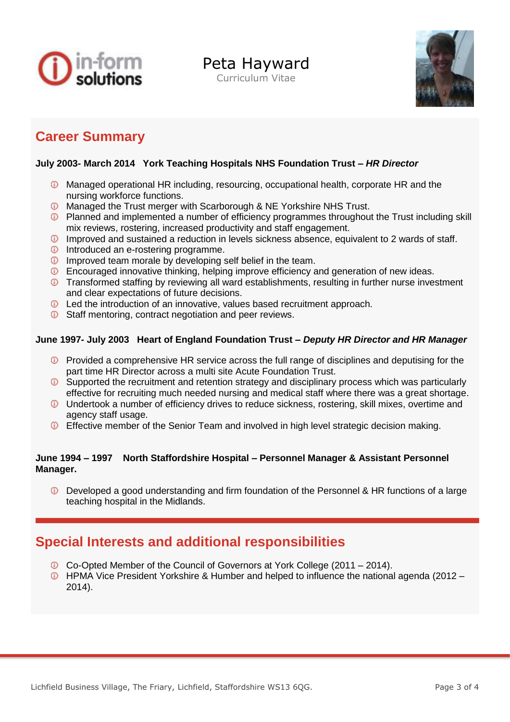

Peta Hayward

Curriculum Vitae



## **Career Summary**

#### **July 2003- March 2014 York Teaching Hospitals NHS Foundation Trust –** *HR Director*

- Managed operational HR including, resourcing, occupational health, corporate HR and the nursing workforce functions.
- Managed the Trust merger with Scarborough & NE Yorkshire NHS Trust.
- **D** Planned and implemented a number of efficiency programmes throughout the Trust including skill mix reviews, rostering, increased productivity and staff engagement.
- Improved and sustained a reduction in levels sickness absence, equivalent to 2 wards of staff.
- **Introduced an e-rostering programme.**
- **IMP** Improved team morale by developing self belief in the team.
- Encouraged innovative thinking, helping improve efficiency and generation of new ideas.
- **Transformed staffing by reviewing all ward establishments, resulting in further nurse investment** and clear expectations of future decisions.
- Led the introduction of an innovative, values based recruitment approach.
- **C** Staff mentoring, contract negotiation and peer reviews.

### **June 1997- July 2003 Heart of England Foundation Trust –** *Deputy HR Director and HR Manager*

- **D** Provided a comprehensive HR service across the full range of disciplines and deputising for the part time HR Director across a multi site Acute Foundation Trust.
- Supported the recruitment and retention strategy and disciplinary process which was particularly effective for recruiting much needed nursing and medical staff where there was a great shortage.
- Undertook a number of efficiency drives to reduce sickness, rostering, skill mixes, overtime and agency staff usage.
- **D** Effective member of the Senior Team and involved in high level strategic decision making.

#### **June 1994 – 1997 North Staffordshire Hospital – Personnel Manager & Assistant Personnel Manager.**

Developed a good understanding and firm foundation of the Personnel & HR functions of a large teaching hospital in the Midlands.

## **Special Interests and additional responsibilities**

- Co-Opted Member of the Council of Governors at York College (2011 2014).
- HPMA Vice President Yorkshire & Humber and helped to influence the national agenda (2012 2014).